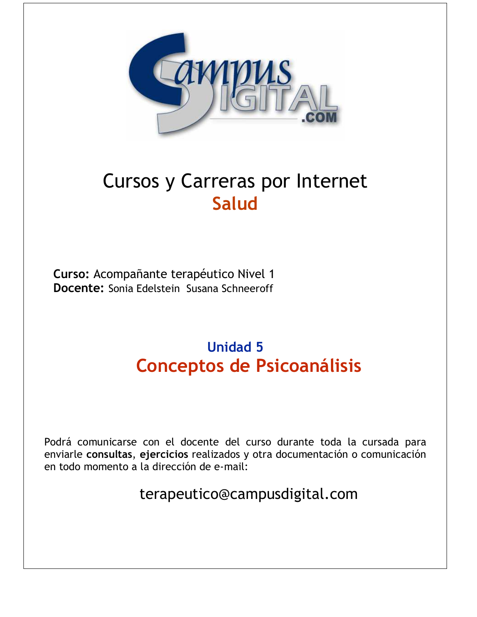

# **Cursos y Carreras por Internet Salud**

Curso: Acompañante terapéutico Nivel 1 Docente: Sonia Edelstein Susana Schneeroff

# **Unidad 5 Conceptos de Psicoanálisis**

Podrá comunicarse con el docente del curso durante toda la cursada para enviarle consultas, ejercicios realizados y otra documentación o comunicación en todo momento a la dirección de e-mail:

terapeutico@campusdigital.com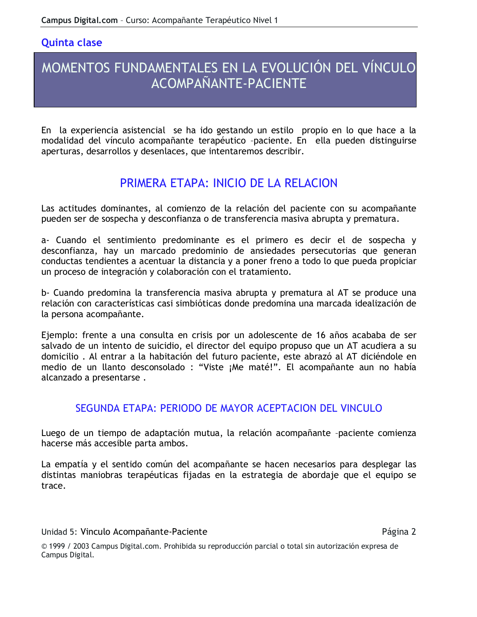#### **Quinta clase**

## MOMENTOS FUNDAMENTALES EN LA EVOLUCIÓN DEL VÍNCULO ACOMPAÑANTE-PACIENTE

En la experiencia asistencial se ha ido gestando un estilo propio en lo que hace a la modalidad del vínculo acompañante terapéutico -paciente. En ella pueden distinguirse aperturas, desarrollos y desenlaces, que intentaremos describir.

## PRIMERA ETAPA: INICIO DE LA RELACION

Las actitudes dominantes, al comienzo de la relación del paciente con su acompañante pueden ser de sospecha y desconfianza o de transferencia masiva abrupta y prematura.

a- Cuando el sentimiento predominante es el primero es decir el de sospecha y desconfianza, hay un marcado predominio de ansiedades persecutorias que generan conductas tendientes a acentuar la distancia y a poner freno a todo lo que pueda propiciar un proceso de integración y colaboración con el tratamiento.

b- Cuando predomina la transferencia masiva abrupta y prematura al AT se produce una relación con características casi simbióticas donde predomina una marcada idealización de la persona acompañante.

Ejemplo: frente a una consulta en crisis por un adolescente de 16 años acababa de ser salvado de un intento de suicidio, el director del equipo propuso que un AT acudiera a su domicilio. Al entrar a la habitación del futuro paciente, este abrazó al AT diciéndole en medio de un llanto desconsolado : "Viste ¡Me maté!". El acompañante aun no había alcanzado a presentarse.

### SEGUNDA ETAPA: PERIODO DE MAYOR ACEPTACION DEL VINCULO

Luego de un tiempo de adaptación mutua, la relación acompañante -paciente comienza hacerse más accesible parta ambos.

La empatía y el sentido común del acompañante se hacen necesarios para desplegar las distintas maniobras terapéuticas fijadas en la estrategia de abordaje que el equipo se trace.

Unidad 5: Vinculo Acompañante-Paciente

Página 2

© 1999 / 2003 Campus Digital.com. Prohibida su reproducción parcial o total sin autorización expresa de Campus Digital.